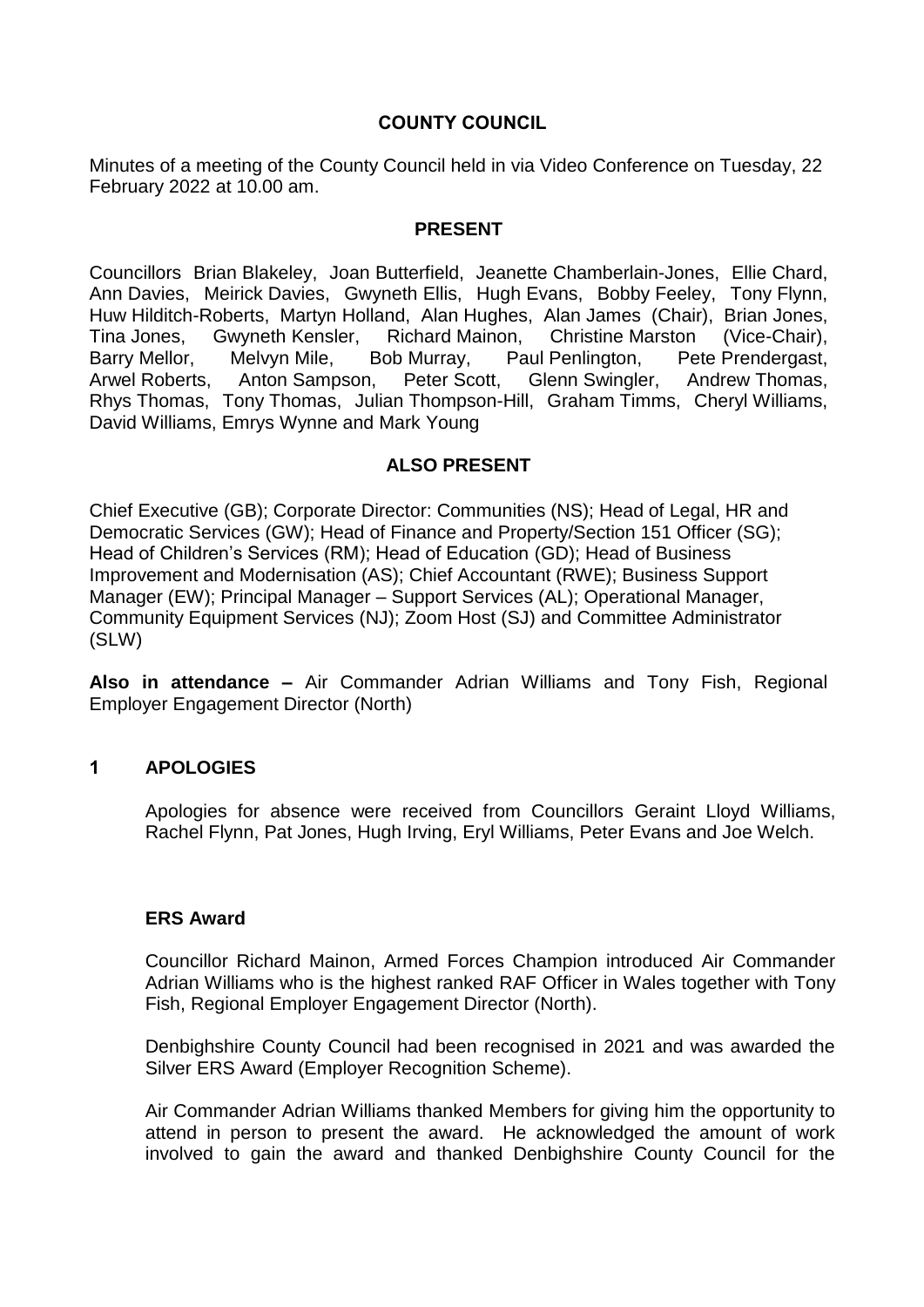## **COUNTY COUNCIL**

Minutes of a meeting of the County Council held in via Video Conference on Tuesday, 22 February 2022 at 10.00 am.

#### **PRESENT**

Councillors Brian Blakeley, Joan Butterfield, Jeanette Chamberlain-Jones, Ellie Chard, Ann Davies, Meirick Davies, Gwyneth Ellis, Hugh Evans, Bobby Feeley, Tony Flynn, Huw Hilditch-Roberts, Martyn Holland, Alan Hughes, Alan James (Chair), Brian Jones, Tina Jones, Gwyneth Kensler, Richard Mainon, Christine Marston (Vice-Chair), Barry Mellor, Melvyn Mile, Bob Murray, Paul Penlington, Pete Prendergast, Arwel Roberts, Anton Sampson, Peter Scott, Glenn Swingler, Andrew Thomas, Rhys Thomas, Tony Thomas, Julian Thompson-Hill, Graham Timms, Cheryl Williams, David Williams, Emrys Wynne and Mark Young

#### **ALSO PRESENT**

Chief Executive (GB); Corporate Director: Communities (NS); Head of Legal, HR and Democratic Services (GW); Head of Finance and Property/Section 151 Officer (SG); Head of Children's Services (RM); Head of Education (GD); Head of Business Improvement and Modernisation (AS); Chief Accountant (RWE); Business Support Manager (EW); Principal Manager – Support Services (AL); Operational Manager, Community Equipment Services (NJ); Zoom Host (SJ) and Committee Administrator (SLW)

**Also in attendance –** Air Commander Adrian Williams and Tony Fish, Regional Employer Engagement Director (North)

## **1 APOLOGIES**

Apologies for absence were received from Councillors Geraint Lloyd Williams, Rachel Flynn, Pat Jones, Hugh Irving, Eryl Williams, Peter Evans and Joe Welch.

#### **ERS Award**

Councillor Richard Mainon, Armed Forces Champion introduced Air Commander Adrian Williams who is the highest ranked RAF Officer in Wales together with Tony Fish, Regional Employer Engagement Director (North).

Denbighshire County Council had been recognised in 2021 and was awarded the Silver ERS Award (Employer Recognition Scheme).

Air Commander Adrian Williams thanked Members for giving him the opportunity to attend in person to present the award. He acknowledged the amount of work involved to gain the award and thanked Denbighshire County Council for the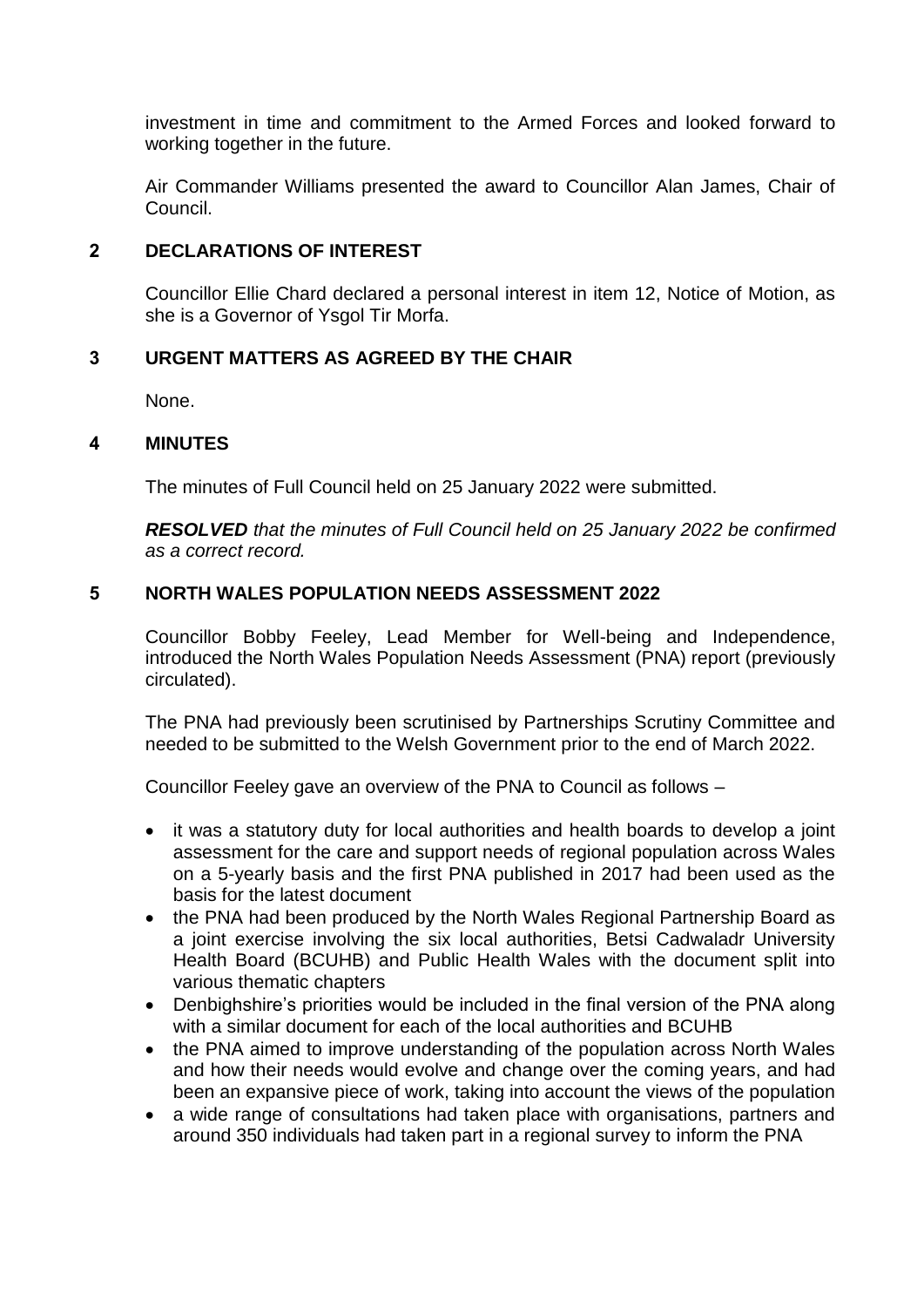investment in time and commitment to the Armed Forces and looked forward to working together in the future.

Air Commander Williams presented the award to Councillor Alan James, Chair of Council.

# **2 DECLARATIONS OF INTEREST**

Councillor Ellie Chard declared a personal interest in item 12, Notice of Motion, as she is a Governor of Ysgol Tir Morfa.

# **3 URGENT MATTERS AS AGREED BY THE CHAIR**

None.

## **4 MINUTES**

The minutes of Full Council held on 25 January 2022 were submitted.

*RESOLVED that the minutes of Full Council held on 25 January 2022 be confirmed as a correct record.*

## **5 NORTH WALES POPULATION NEEDS ASSESSMENT 2022**

Councillor Bobby Feeley, Lead Member for Well-being and Independence, introduced the North Wales Population Needs Assessment (PNA) report (previously circulated).

The PNA had previously been scrutinised by Partnerships Scrutiny Committee and needed to be submitted to the Welsh Government prior to the end of March 2022.

Councillor Feeley gave an overview of the PNA to Council as follows –

- it was a statutory duty for local authorities and health boards to develop a joint assessment for the care and support needs of regional population across Wales on a 5-yearly basis and the first PNA published in 2017 had been used as the basis for the latest document
- the PNA had been produced by the North Wales Regional Partnership Board as a joint exercise involving the six local authorities, Betsi Cadwaladr University Health Board (BCUHB) and Public Health Wales with the document split into various thematic chapters
- Denbighshire's priorities would be included in the final version of the PNA along with a similar document for each of the local authorities and BCUHB
- the PNA aimed to improve understanding of the population across North Wales and how their needs would evolve and change over the coming years, and had been an expansive piece of work, taking into account the views of the population
- a wide range of consultations had taken place with organisations, partners and around 350 individuals had taken part in a regional survey to inform the PNA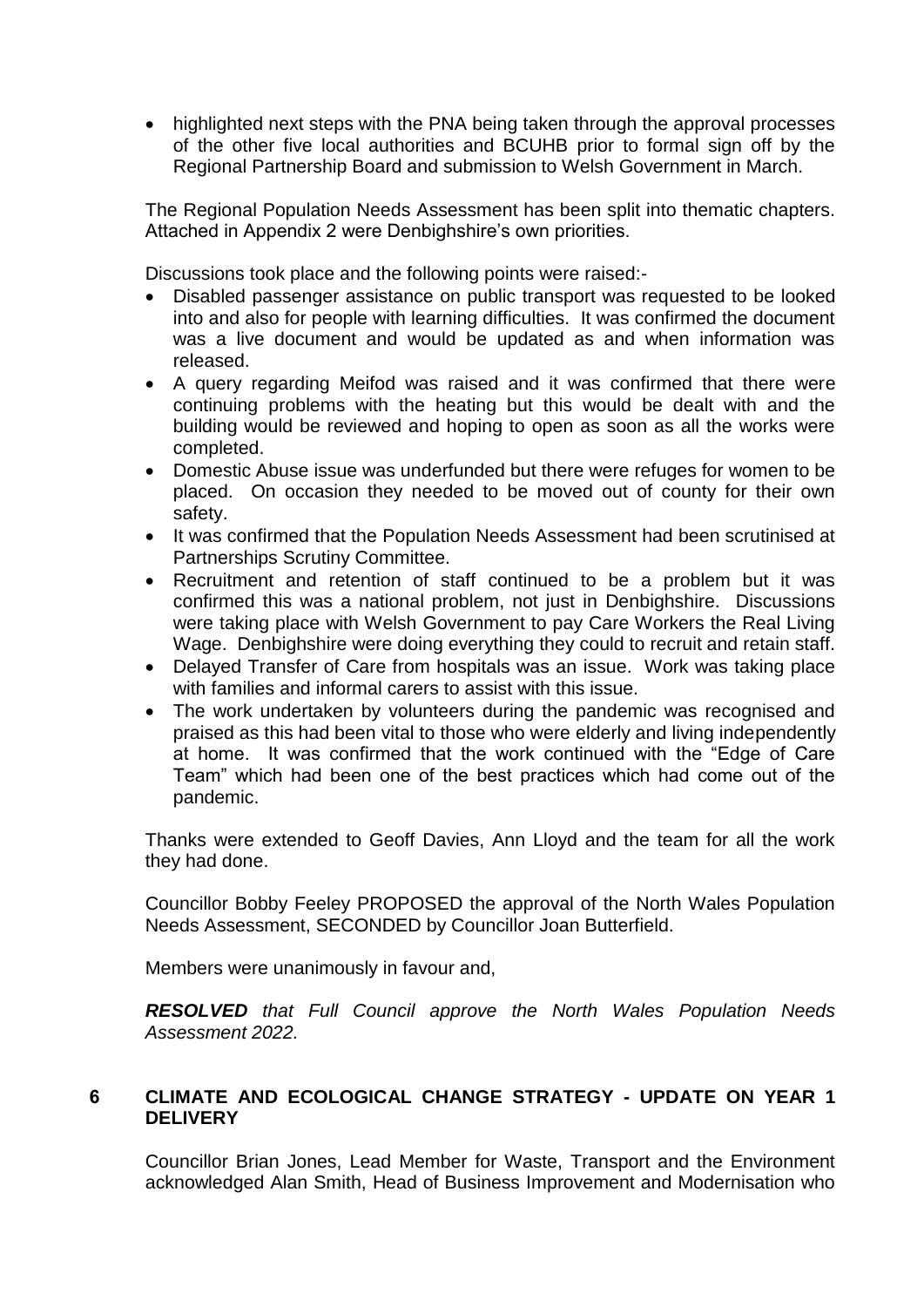• highlighted next steps with the PNA being taken through the approval processes of the other five local authorities and BCUHB prior to formal sign off by the Regional Partnership Board and submission to Welsh Government in March.

The Regional Population Needs Assessment has been split into thematic chapters. Attached in Appendix 2 were Denbighshire's own priorities.

Discussions took place and the following points were raised:-

- Disabled passenger assistance on public transport was requested to be looked into and also for people with learning difficulties. It was confirmed the document was a live document and would be updated as and when information was released.
- A query regarding Meifod was raised and it was confirmed that there were continuing problems with the heating but this would be dealt with and the building would be reviewed and hoping to open as soon as all the works were completed.
- Domestic Abuse issue was underfunded but there were refuges for women to be placed. On occasion they needed to be moved out of county for their own safety.
- It was confirmed that the Population Needs Assessment had been scrutinised at Partnerships Scrutiny Committee.
- Recruitment and retention of staff continued to be a problem but it was confirmed this was a national problem, not just in Denbighshire. Discussions were taking place with Welsh Government to pay Care Workers the Real Living Wage. Denbighshire were doing everything they could to recruit and retain staff.
- Delayed Transfer of Care from hospitals was an issue. Work was taking place with families and informal carers to assist with this issue.
- The work undertaken by volunteers during the pandemic was recognised and praised as this had been vital to those who were elderly and living independently at home. It was confirmed that the work continued with the "Edge of Care Team" which had been one of the best practices which had come out of the pandemic.

Thanks were extended to Geoff Davies, Ann Lloyd and the team for all the work they had done.

Councillor Bobby Feeley PROPOSED the approval of the North Wales Population Needs Assessment, SECONDED by Councillor Joan Butterfield.

Members were unanimously in favour and,

*RESOLVED that Full Council approve the North Wales Population Needs Assessment 2022.*

## **6 CLIMATE AND ECOLOGICAL CHANGE STRATEGY - UPDATE ON YEAR 1 DELIVERY**

Councillor Brian Jones, Lead Member for Waste, Transport and the Environment acknowledged Alan Smith, Head of Business Improvement and Modernisation who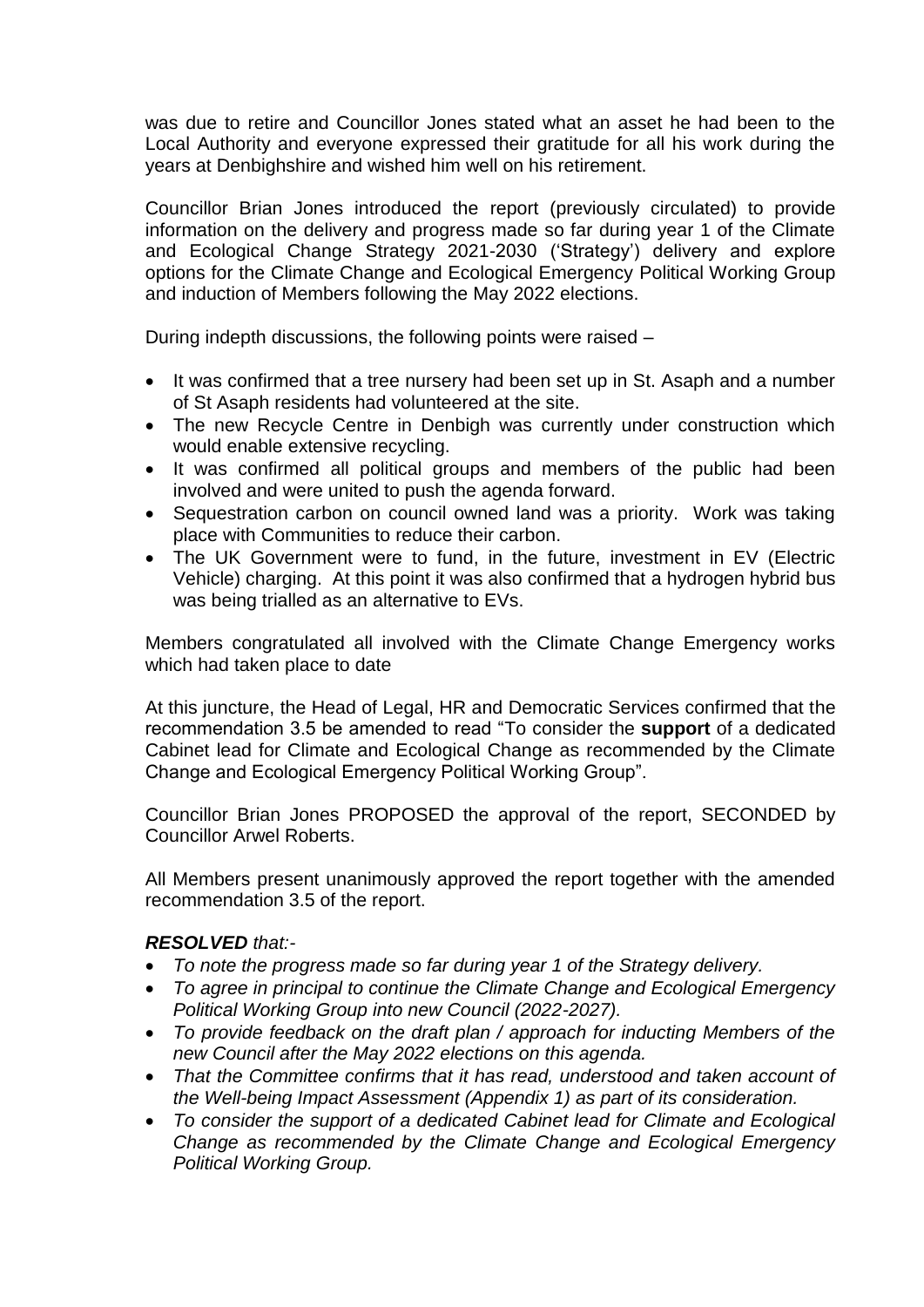was due to retire and Councillor Jones stated what an asset he had been to the Local Authority and everyone expressed their gratitude for all his work during the years at Denbighshire and wished him well on his retirement.

Councillor Brian Jones introduced the report (previously circulated) to provide information on the delivery and progress made so far during year 1 of the Climate and Ecological Change Strategy 2021-2030 ('Strategy') delivery and explore options for the Climate Change and Ecological Emergency Political Working Group and induction of Members following the May 2022 elections.

During indepth discussions, the following points were raised –

- It was confirmed that a tree nursery had been set up in St. Asaph and a number of St Asaph residents had volunteered at the site.
- The new Recycle Centre in Denbigh was currently under construction which would enable extensive recycling.
- It was confirmed all political groups and members of the public had been involved and were united to push the agenda forward.
- Sequestration carbon on council owned land was a priority. Work was taking place with Communities to reduce their carbon.
- The UK Government were to fund, in the future, investment in EV (Electric Vehicle) charging. At this point it was also confirmed that a hydrogen hybrid bus was being trialled as an alternative to EVs.

Members congratulated all involved with the Climate Change Emergency works which had taken place to date

At this juncture, the Head of Legal, HR and Democratic Services confirmed that the recommendation 3.5 be amended to read "To consider the **support** of a dedicated Cabinet lead for Climate and Ecological Change as recommended by the Climate Change and Ecological Emergency Political Working Group".

Councillor Brian Jones PROPOSED the approval of the report, SECONDED by Councillor Arwel Roberts.

All Members present unanimously approved the report together with the amended recommendation 3.5 of the report.

## *RESOLVED that:-*

- *To note the progress made so far during year 1 of the Strategy delivery.*
- *To agree in principal to continue the Climate Change and Ecological Emergency Political Working Group into new Council (2022-2027).*
- *To provide feedback on the draft plan / approach for inducting Members of the new Council after the May 2022 elections on this agenda.*
- *That the Committee confirms that it has read, understood and taken account of the Well-being Impact Assessment (Appendix 1) as part of its consideration.*
- *To consider the support of a dedicated Cabinet lead for Climate and Ecological Change as recommended by the Climate Change and Ecological Emergency Political Working Group.*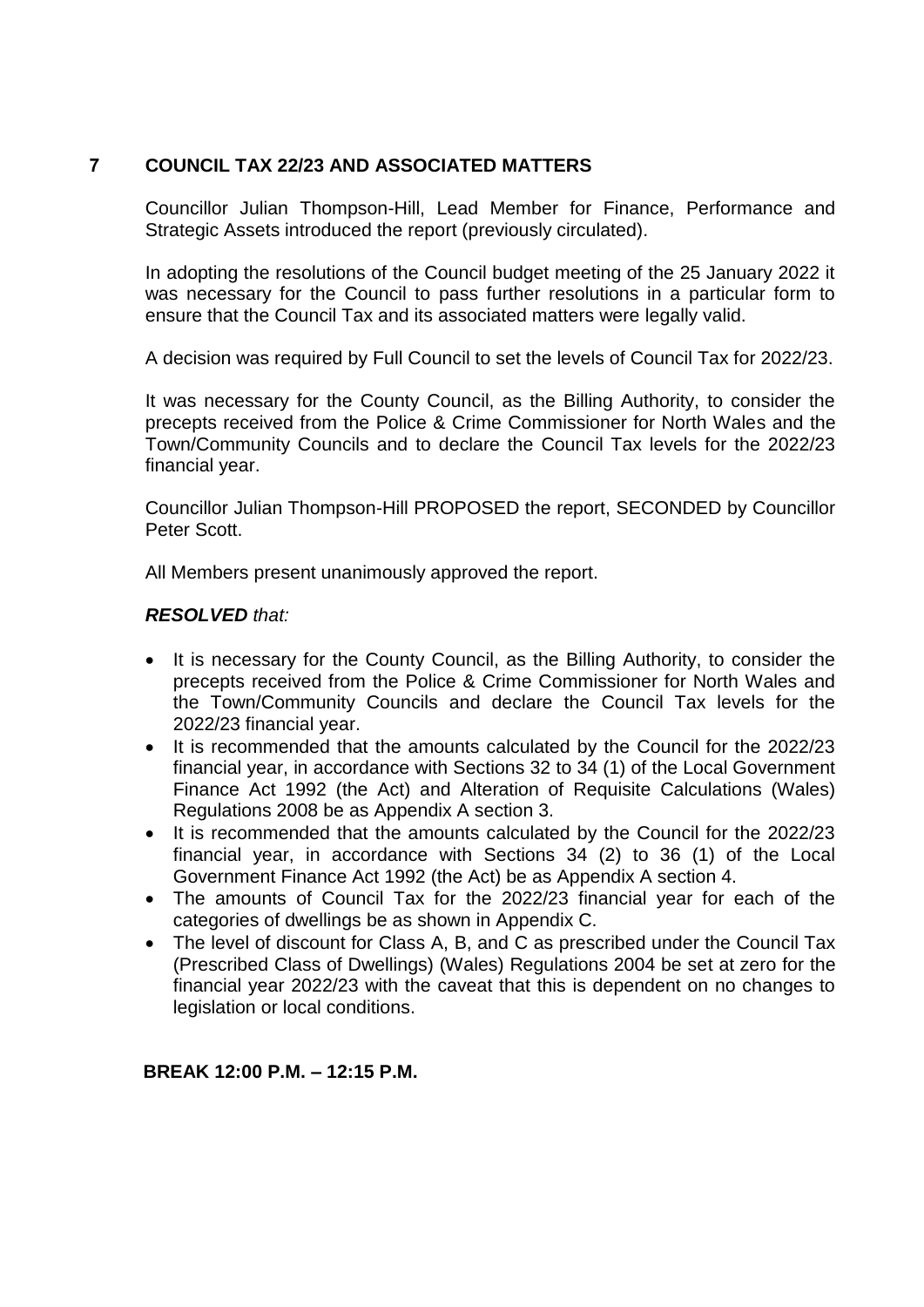# **7 COUNCIL TAX 22/23 AND ASSOCIATED MATTERS**

Councillor Julian Thompson-Hill, Lead Member for Finance, Performance and Strategic Assets introduced the report (previously circulated).

In adopting the resolutions of the Council budget meeting of the 25 January 2022 it was necessary for the Council to pass further resolutions in a particular form to ensure that the Council Tax and its associated matters were legally valid.

A decision was required by Full Council to set the levels of Council Tax for 2022/23.

It was necessary for the County Council, as the Billing Authority, to consider the precepts received from the Police & Crime Commissioner for North Wales and the Town/Community Councils and to declare the Council Tax levels for the 2022/23 financial year.

Councillor Julian Thompson-Hill PROPOSED the report, SECONDED by Councillor Peter Scott.

All Members present unanimously approved the report.

## *RESOLVED that:*

- It is necessary for the County Council, as the Billing Authority, to consider the precepts received from the Police & Crime Commissioner for North Wales and the Town/Community Councils and declare the Council Tax levels for the 2022/23 financial year.
- It is recommended that the amounts calculated by the Council for the 2022/23 financial year, in accordance with Sections 32 to 34 (1) of the Local Government Finance Act 1992 (the Act) and Alteration of Requisite Calculations (Wales) Regulations 2008 be as Appendix A section 3.
- It is recommended that the amounts calculated by the Council for the 2022/23 financial year, in accordance with Sections 34 (2) to 36 (1) of the Local Government Finance Act 1992 (the Act) be as Appendix A section 4.
- The amounts of Council Tax for the 2022/23 financial year for each of the categories of dwellings be as shown in Appendix C.
- The level of discount for Class A, B, and C as prescribed under the Council Tax (Prescribed Class of Dwellings) (Wales) Regulations 2004 be set at zero for the financial year 2022/23 with the caveat that this is dependent on no changes to legislation or local conditions.

## **BREAK 12:00 P.M. – 12:15 P.M.**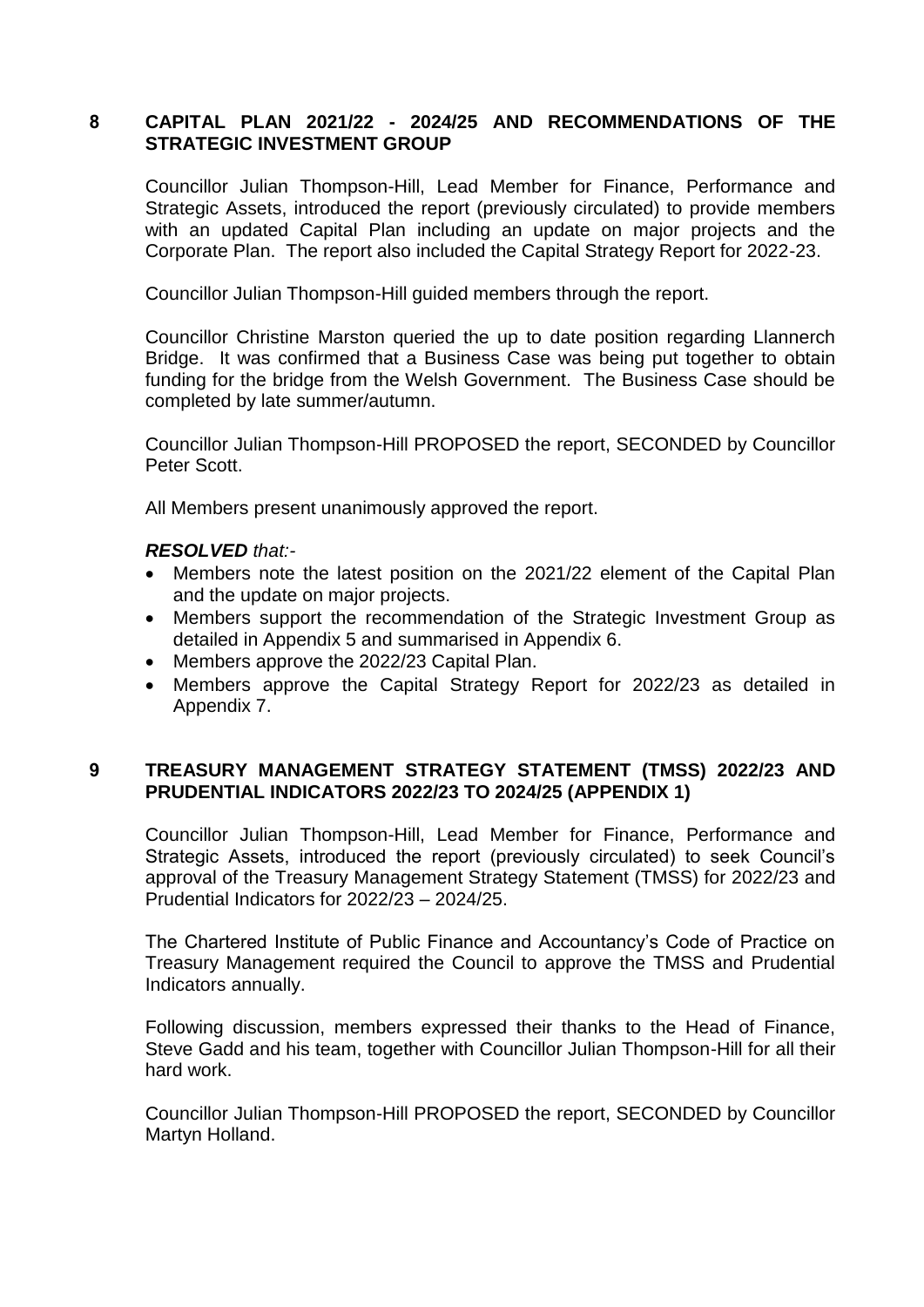## **8 CAPITAL PLAN 2021/22 - 2024/25 AND RECOMMENDATIONS OF THE STRATEGIC INVESTMENT GROUP**

Councillor Julian Thompson-Hill, Lead Member for Finance, Performance and Strategic Assets, introduced the report (previously circulated) to provide members with an updated Capital Plan including an update on major projects and the Corporate Plan. The report also included the Capital Strategy Report for 2022-23.

Councillor Julian Thompson-Hill guided members through the report.

Councillor Christine Marston queried the up to date position regarding Llannerch Bridge. It was confirmed that a Business Case was being put together to obtain funding for the bridge from the Welsh Government. The Business Case should be completed by late summer/autumn.

Councillor Julian Thompson-Hill PROPOSED the report, SECONDED by Councillor Peter Scott.

All Members present unanimously approved the report.

#### *RESOLVED that:-*

- Members note the latest position on the 2021/22 element of the Capital Plan and the update on major projects.
- Members support the recommendation of the Strategic Investment Group as detailed in Appendix 5 and summarised in Appendix 6.
- Members approve the 2022/23 Capital Plan.
- Members approve the Capital Strategy Report for 2022/23 as detailed in Appendix 7.

# **9 TREASURY MANAGEMENT STRATEGY STATEMENT (TMSS) 2022/23 AND PRUDENTIAL INDICATORS 2022/23 TO 2024/25 (APPENDIX 1)**

Councillor Julian Thompson-Hill, Lead Member for Finance, Performance and Strategic Assets, introduced the report (previously circulated) to seek Council's approval of the Treasury Management Strategy Statement (TMSS) for 2022/23 and Prudential Indicators for 2022/23 – 2024/25.

The Chartered Institute of Public Finance and Accountancy's Code of Practice on Treasury Management required the Council to approve the TMSS and Prudential Indicators annually.

Following discussion, members expressed their thanks to the Head of Finance, Steve Gadd and his team, together with Councillor Julian Thompson-Hill for all their hard work.

Councillor Julian Thompson-Hill PROPOSED the report, SECONDED by Councillor Martyn Holland.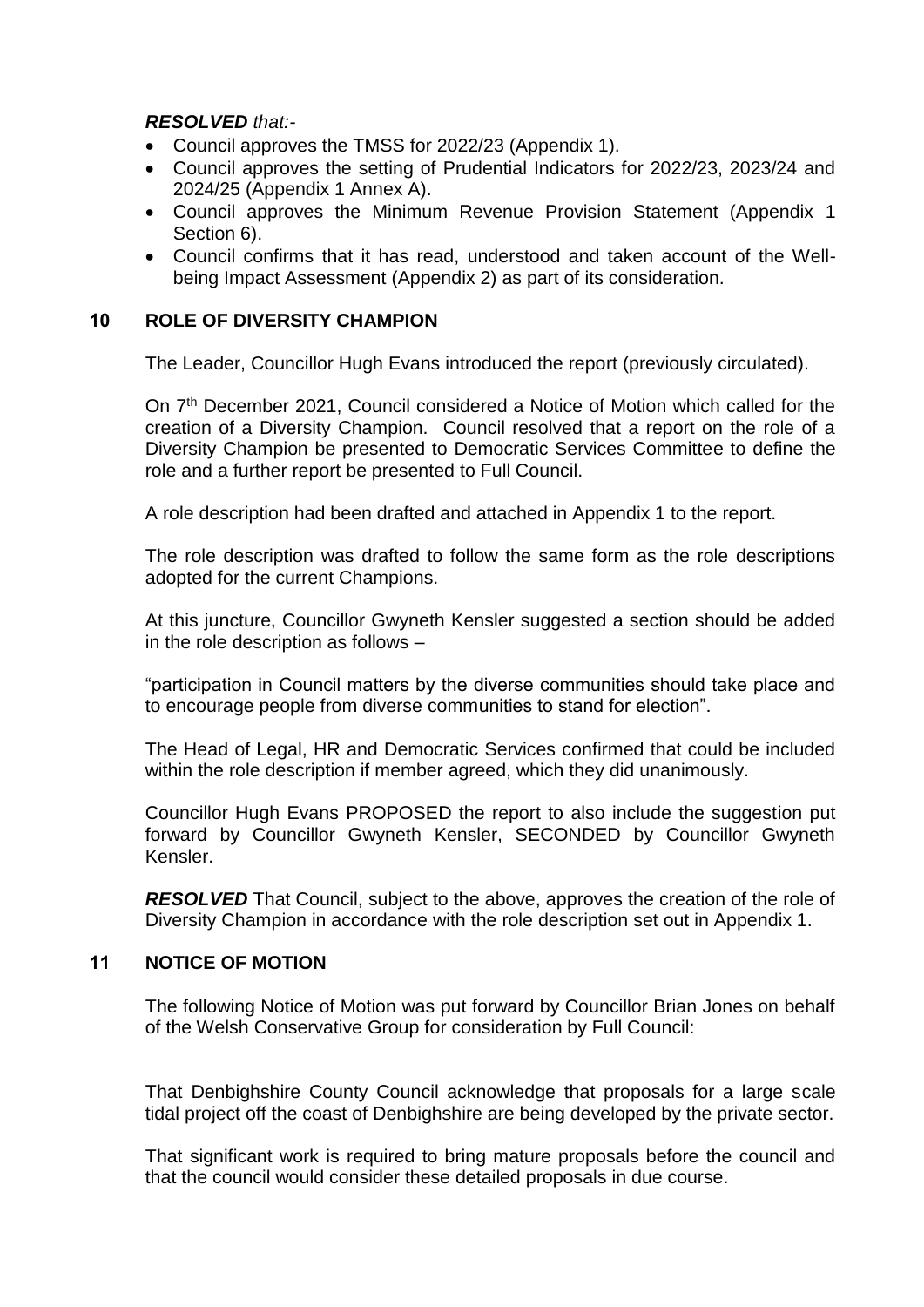*RESOLVED that:-*

- Council approves the TMSS for 2022/23 (Appendix 1).
- Council approves the setting of Prudential Indicators for 2022/23, 2023/24 and 2024/25 (Appendix 1 Annex A).
- Council approves the Minimum Revenue Provision Statement (Appendix 1 Section 6).
- Council confirms that it has read, understood and taken account of the Wellbeing Impact Assessment (Appendix 2) as part of its consideration.

## **10 ROLE OF DIVERSITY CHAMPION**

The Leader, Councillor Hugh Evans introduced the report (previously circulated).

On 7<sup>th</sup> December 2021, Council considered a Notice of Motion which called for the creation of a Diversity Champion. Council resolved that a report on the role of a Diversity Champion be presented to Democratic Services Committee to define the role and a further report be presented to Full Council.

A role description had been drafted and attached in Appendix 1 to the report.

The role description was drafted to follow the same form as the role descriptions adopted for the current Champions.

At this juncture, Councillor Gwyneth Kensler suggested a section should be added in the role description as follows –

"participation in Council matters by the diverse communities should take place and to encourage people from diverse communities to stand for election".

The Head of Legal, HR and Democratic Services confirmed that could be included within the role description if member agreed, which they did unanimously.

Councillor Hugh Evans PROPOSED the report to also include the suggestion put forward by Councillor Gwyneth Kensler, SECONDED by Councillor Gwyneth Kensler.

*RESOLVED* That Council, subject to the above, approves the creation of the role of Diversity Champion in accordance with the role description set out in Appendix 1.

# **11 NOTICE OF MOTION**

The following Notice of Motion was put forward by Councillor Brian Jones on behalf of the Welsh Conservative Group for consideration by Full Council:

That Denbighshire County Council acknowledge that proposals for a large scale tidal project off the coast of Denbighshire are being developed by the private sector.

That significant work is required to bring mature proposals before the council and that the council would consider these detailed proposals in due course.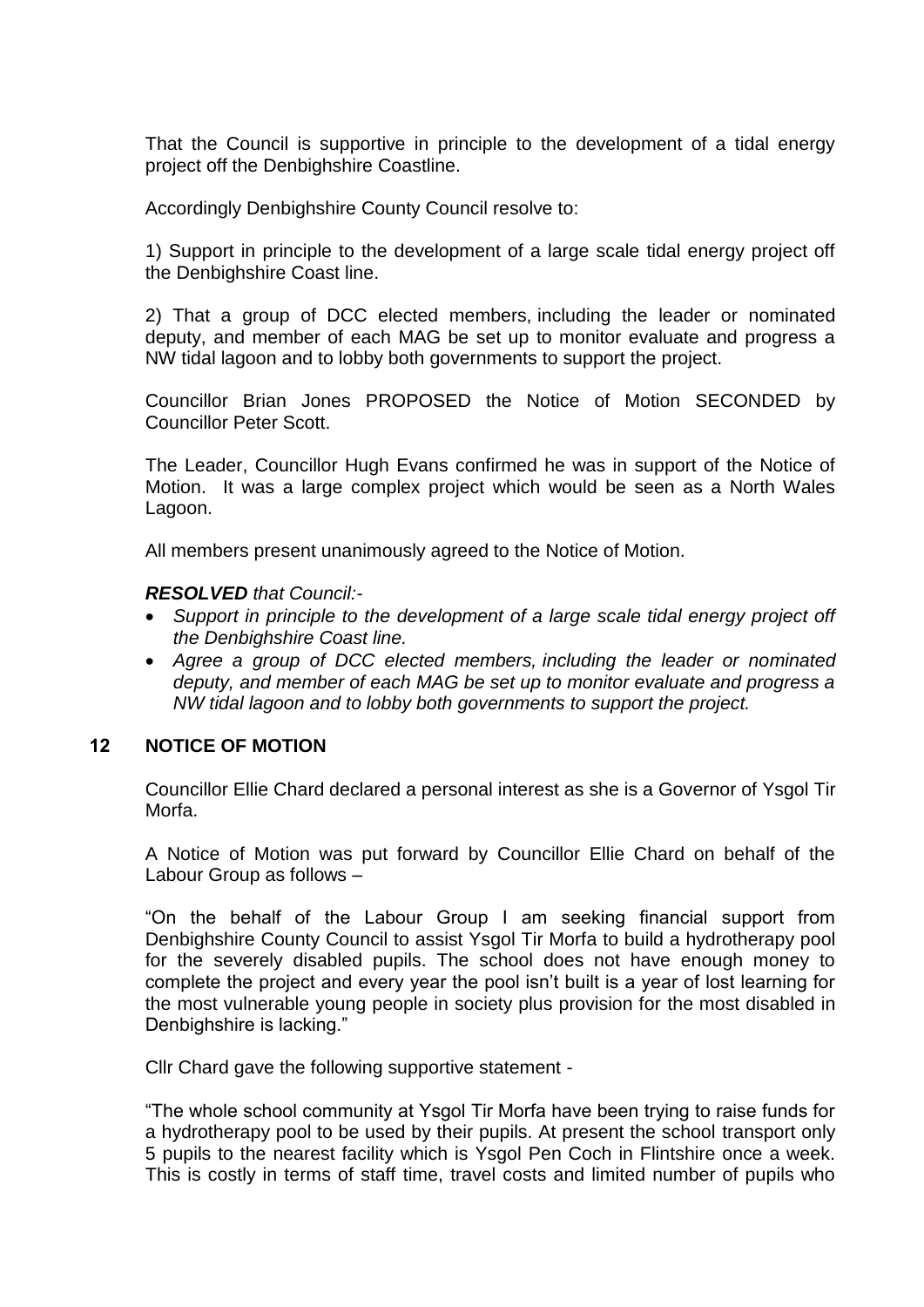That the Council is supportive in principle to the development of a tidal energy project off the Denbighshire Coastline.

Accordingly Denbighshire County Council resolve to:

1) Support in principle to the development of a large scale tidal energy project off the Denbighshire Coast line.

2) That a group of DCC elected members, including the leader or nominated deputy, and member of each MAG be set up to monitor evaluate and progress a NW tidal lagoon and to lobby both governments to support the project.

Councillor Brian Jones PROPOSED the Notice of Motion SECONDED by Councillor Peter Scott.

The Leader, Councillor Hugh Evans confirmed he was in support of the Notice of Motion. It was a large complex project which would be seen as a North Wales Lagoon.

All members present unanimously agreed to the Notice of Motion.

#### *RESOLVED that Council:-*

- *Support in principle to the development of a large scale tidal energy project off the Denbighshire Coast line.*
- *Agree a group of DCC elected members, including the leader or nominated deputy, and member of each MAG be set up to monitor evaluate and progress a NW tidal lagoon and to lobby both governments to support the project.*

## **12 NOTICE OF MOTION**

Councillor Ellie Chard declared a personal interest as she is a Governor of Ysgol Tir Morfa.

A Notice of Motion was put forward by Councillor Ellie Chard on behalf of the Labour Group as follows –

"On the behalf of the Labour Group I am seeking financial support from Denbighshire County Council to assist Ysgol Tir Morfa to build a hydrotherapy pool for the severely disabled pupils. The school does not have enough money to complete the project and every year the pool isn't built is a year of lost learning for the most vulnerable young people in society plus provision for the most disabled in Denbighshire is lacking."

Cllr Chard gave the following supportive statement -

"The whole school community at Ysgol Tir Morfa have been trying to raise funds for a hydrotherapy pool to be used by their pupils. At present the school transport only 5 pupils to the nearest facility which is Ysgol Pen Coch in Flintshire once a week. This is costly in terms of staff time, travel costs and limited number of pupils who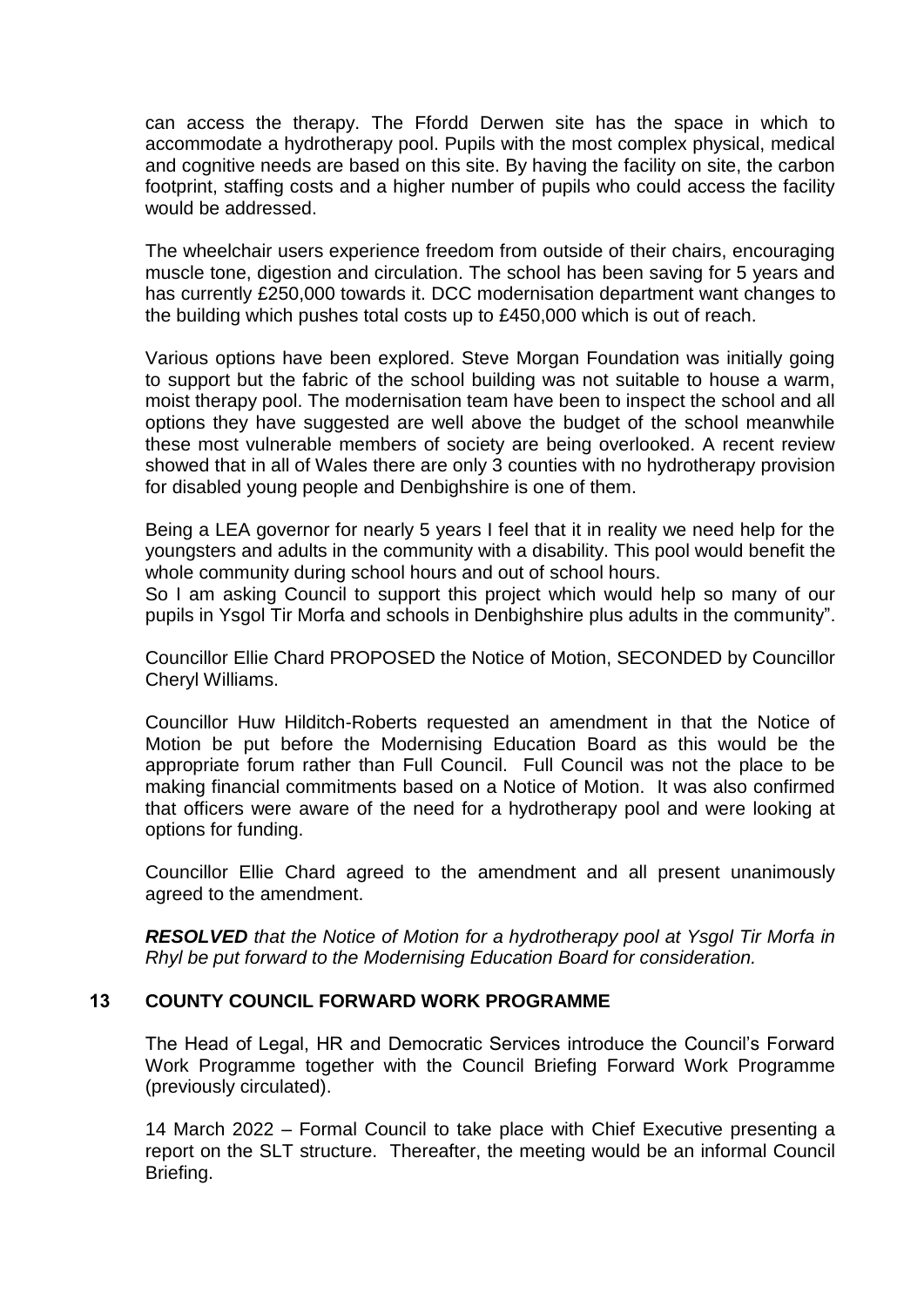can access the therapy. The Ffordd Derwen site has the space in which to accommodate a hydrotherapy pool. Pupils with the most complex physical, medical and cognitive needs are based on this site. By having the facility on site, the carbon footprint, staffing costs and a higher number of pupils who could access the facility would be addressed.

The wheelchair users experience freedom from outside of their chairs, encouraging muscle tone, digestion and circulation. The school has been saving for 5 years and has currently £250,000 towards it. DCC modernisation department want changes to the building which pushes total costs up to £450,000 which is out of reach.

Various options have been explored. Steve Morgan Foundation was initially going to support but the fabric of the school building was not suitable to house a warm, moist therapy pool. The modernisation team have been to inspect the school and all options they have suggested are well above the budget of the school meanwhile these most vulnerable members of society are being overlooked. A recent review showed that in all of Wales there are only 3 counties with no hydrotherapy provision for disabled young people and Denbighshire is one of them.

Being a LEA governor for nearly 5 years I feel that it in reality we need help for the youngsters and adults in the community with a disability. This pool would benefit the whole community during school hours and out of school hours.

So I am asking Council to support this project which would help so many of our pupils in Ysgol Tir Morfa and schools in Denbighshire plus adults in the community".

Councillor Ellie Chard PROPOSED the Notice of Motion, SECONDED by Councillor Cheryl Williams.

Councillor Huw Hilditch-Roberts requested an amendment in that the Notice of Motion be put before the Modernising Education Board as this would be the appropriate forum rather than Full Council. Full Council was not the place to be making financial commitments based on a Notice of Motion. It was also confirmed that officers were aware of the need for a hydrotherapy pool and were looking at options for funding.

Councillor Ellie Chard agreed to the amendment and all present unanimously agreed to the amendment.

*RESOLVED that the Notice of Motion for a hydrotherapy pool at Ysgol Tir Morfa in Rhyl be put forward to the Modernising Education Board for consideration.*

## **13 COUNTY COUNCIL FORWARD WORK PROGRAMME**

The Head of Legal, HR and Democratic Services introduce the Council's Forward Work Programme together with the Council Briefing Forward Work Programme (previously circulated).

14 March 2022 – Formal Council to take place with Chief Executive presenting a report on the SLT structure. Thereafter, the meeting would be an informal Council Briefing.